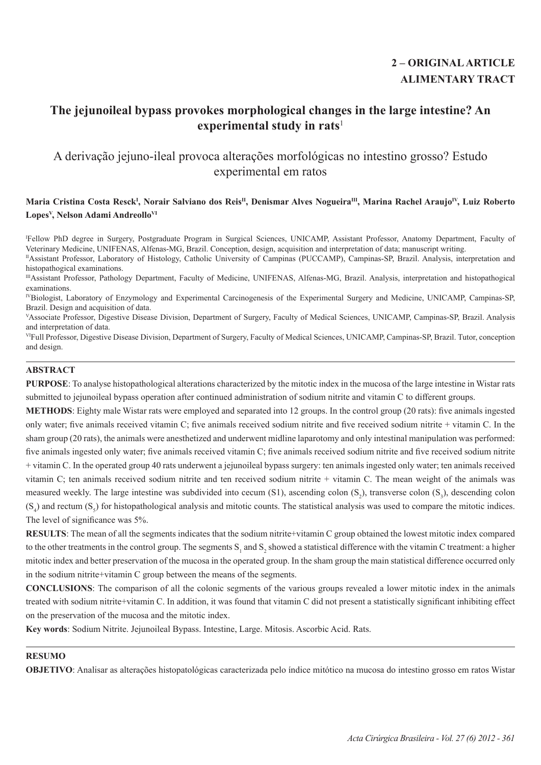# **2 – ORIGINAL ARTICLE ALIMENTARY TRACT**

## **The jejunoileal bypass provokes morphological changes in the large intestine? An experimental study in rats**<sup>1</sup>

## A derivação jejuno-ileal provoca alterações morfológicas no intestino grosso? Estudo experimental em ratos

## Maria Cristina Costa Resck<sup>I</sup>, Norair Salviano dos Reis<sup>u</sup>, Denismar Alves Nogueira<sup>m</sup>, Marina Rachel Araujo<sup>nv</sup>, Luiz Roberto **LopesV, Nelson Adami AndreolloVI**

I Fellow PhD degree in Surgery, Postgraduate Program in Surgical Sciences, UNICAMP, Assistant Professor, Anatomy Department, Faculty of Veterinary Medicine, UNIFENAS, Alfenas-MG, Brazil. Conception, design, acquisition and interpretation of data; manuscript writing. IIAssistant Professor, Laboratory of Histology, Catholic University of Campinas (PUCCAMP), Campinas-SP, Brazil. Analysis, interpretation and

histopathogical examinations.

IIIAssistant Professor, Pathology Department, Faculty of Medicine, UNIFENAS, Alfenas-MG, Brazil. Analysis, interpretation and histopathogical examinations.

IVBiologist, Laboratory of Enzymology and Experimental Carcinogenesis of the Experimental Surgery and Medicine, UNICAMP, Campinas-SP, Brazil. Design and acquisition of data.

VAssociate Professor, Digestive Disease Division, Department of Surgery, Faculty of Medical Sciences, UNICAMP, Campinas-SP, Brazil. Analysis and interpretation of data.

VIFull Professor, Digestive Disease Division, Department of Surgery, Faculty of Medical Sciences, UNICAMP, Campinas-SP, Brazil. Tutor, conception and design.

### **ABSTRACT**

**PURPOSE**: To analyse histopathological alterations characterized by the mitotic index in the mucosa of the large intestine in Wistar rats submitted to jejunoileal bypass operation after continued administration of sodium nitrite and vitamin C to different groups.

**METHODS**: Eighty male Wistar rats were employed and separated into 12 groups. In the control group (20 rats): five animals ingested only water; five animals received vitamin C; five animals received sodium nitrite and five received sodium nitrite + vitamin C. In the sham group (20 rats), the animals were anesthetized and underwent midline laparotomy and only intestinal manipulation was performed: five animals ingested only water; five animals received vitamin C; five animals received sodium nitrite and five received sodium nitrite + vitamin C. In the operated group 40 rats underwent a jejunoileal bypass surgery: ten animals ingested only water; ten animals received vitamin C; ten animals received sodium nitrite and ten received sodium nitrite + vitamin C. The mean weight of the animals was measured weekly. The large intestine was subdivided into cecum  $(S1)$ , ascending colon  $(S_2)$ , transverse colon  $(S_3)$ , descending colon  $(S_4)$  and rectum  $(S_5)$  for histopathological analysis and mitotic counts. The statistical analysis was used to compare the mitotic indices. The level of significance was 5%.

**RESULTS**: The mean of all the segments indicates that the sodium nitrite+vitamin C group obtained the lowest mitotic index compared to the other treatments in the control group. The segments  $S_1$  and  $S_2$  showed a statistical difference with the vitamin C treatment: a higher mitotic index and better preservation of the mucosa in the operated group. In the sham group the main statistical difference occurred only in the sodium nitrite+vitamin C group between the means of the segments.

**CONCLUSIONS**: The comparison of all the colonic segments of the various groups revealed a lower mitotic index in the animals treated with sodium nitrite+vitamin C. In addition, it was found that vitamin C did not present a statistically significant inhibiting effect on the preservation of the mucosa and the mitotic index.

**Key words**: Sodium Nitrite. Jejunoileal Bypass. Intestine, Large. Mitosis. Ascorbic Acid. Rats.

### **RESUMO**

**OBJETIVO**: Analisar as alterações histopatológicas caracterizada pelo índice mitótico na mucosa do intestino grosso em ratos Wistar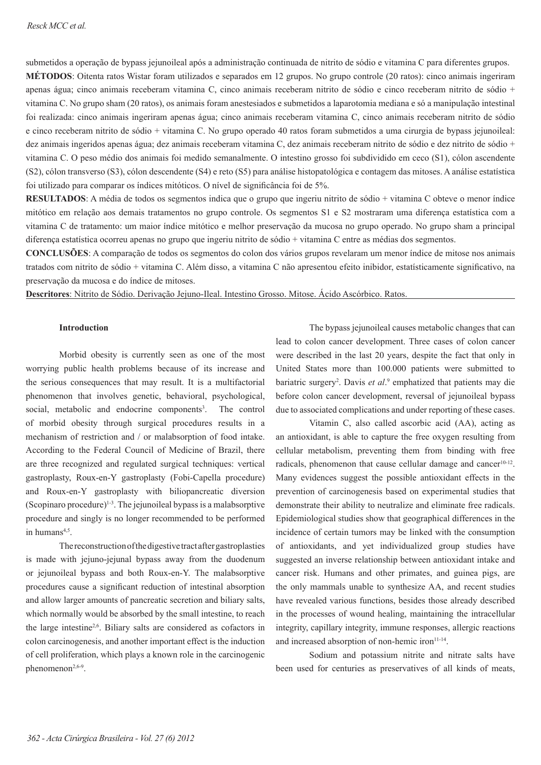submetidos a operação de bypass jejunoileal após a administração continuada de nitrito de sódio e vitamina C para diferentes grupos. **MÉTODOS**: Oitenta ratos Wistar foram utilizados e separados em 12 grupos. No grupo controle (20 ratos): cinco animais ingeriram apenas água; cinco animais receberam vitamina C, cinco animais receberam nitrito de sódio e cinco receberam nitrito de sódio + vitamina C. No grupo sham (20 ratos), os animais foram anestesiados e submetidos a laparotomia mediana e só a manipulação intestinal foi realizada: cinco animais ingeriram apenas água; cinco animais receberam vitamina C, cinco animais receberam nitrito de sódio e cinco receberam nitrito de sódio + vitamina C. No grupo operado 40 ratos foram submetidos a uma cirurgia de bypass jejunoileal: dez animais ingeridos apenas água; dez animais receberam vitamina C, dez animais receberam nitrito de sódio e dez nitrito de sódio + vitamina C. O peso médio dos animais foi medido semanalmente. O intestino grosso foi subdividido em ceco (S1), cólon ascendente (S2), cólon transverso (S3), cólon descendente (S4) e reto (S5) para análise histopatológica e contagem das mitoses. A análise estatística foi utilizado para comparar os índices mitóticos. O nível de significância foi de 5%.

**RESULTADOS**: A média de todos os segmentos indica que o grupo que ingeriu nitrito de sódio + vitamina C obteve o menor índice mitótico em relação aos demais tratamentos no grupo controle. Os segmentos S1 e S2 mostraram uma diferença estatística com a vitamina C de tratamento: um maior índice mitótico e melhor preservação da mucosa no grupo operado. No grupo sham a principal diferença estatística ocorreu apenas no grupo que ingeriu nitrito de sódio + vitamina C entre as médias dos segmentos.

**CONCLUSÕES**: A comparação de todos os segmentos do colon dos vários grupos revelaram um menor índice de mitose nos animais tratados com nitrito de sódio + vitamina C. Além disso, a vitamina C não apresentou efeito inibidor, estatísticamente significativo, na preservação da mucosa e do índice de mitoses.

**Descritores**: Nitrito de Sódio. Derivação Jejuno-Ileal. Intestino Grosso. Mitose. Ácido Ascórbico. Ratos.

#### **Introduction**

Morbid obesity is currently seen as one of the most worrying public health problems because of its increase and the serious consequences that may result. It is a multifactorial phenomenon that involves genetic, behavioral, psychological, social, metabolic and endocrine components<sup>3</sup>. . The control of morbid obesity through surgical procedures results in a mechanism of restriction and / or malabsorption of food intake. According to the Federal Council of Medicine of Brazil, there are three recognized and regulated surgical techniques: vertical gastroplasty, Roux-en-Y gastroplasty (Fobi-Capella procedure) and Roux-en-Y gastroplasty with biliopancreatic diversion  $(Scopinaro procedure)^{1-3}$ . The jejunoileal bypass is a malabsorptive procedure and singly is no longer recommended to be performed in humans<sup>4,5</sup>.

The reconstruction of the digestive tract after gastroplasties is made with jejuno-jejunal bypass away from the duodenum or jejunoileal bypass and both Roux-en-Y. The malabsorptive procedures cause a significant reduction of intestinal absorption and allow larger amounts of pancreatic secretion and biliary salts, which normally would be absorbed by the small intestine, to reach the large intestine<sup>2,6</sup>. Biliary salts are considered as cofactors in colon carcinogenesis, and another important effect is the induction of cell proliferation, which plays a known role in the carcinogenic phenomenon<sup>2,6-9</sup>.

The bypass jejunoileal causes metabolic changes that can lead to colon cancer development. Three cases of colon cancer were described in the last 20 years, despite the fact that only in United States more than 100.000 patients were submitted to bariatric surgery<sup>2</sup>. Davis et al.<sup>9</sup> emphatized that patients may die before colon cancer development, reversal of jejunoileal bypass due to associated complications and under reporting of these cases.

Vitamin C, also called ascorbic acid (AA), acting as an antioxidant, is able to capture the free oxygen resulting from cellular metabolism, preventing them from binding with free radicals, phenomenon that cause cellular damage and cancer<sup>10-12</sup>. Many evidences suggest the possible antioxidant effects in the prevention of carcinogenesis based on experimental studies that demonstrate their ability to neutralize and eliminate free radicals. Epidemiological studies show that geographical differences in the incidence of certain tumors may be linked with the consumption of antioxidants, and yet individualized group studies have suggested an inverse relationship between antioxidant intake and cancer risk. Humans and other primates, and guinea pigs, are the only mammals unable to synthesize AA, and recent studies have revealed various functions, besides those already described in the processes of wound healing, maintaining the intracellular integrity, capillary integrity, immune responses, allergic reactions and increased absorption of non-hemic iron<sup>11-14</sup>.

Sodium and potassium nitrite and nitrate salts have been used for centuries as preservatives of all kinds of meats,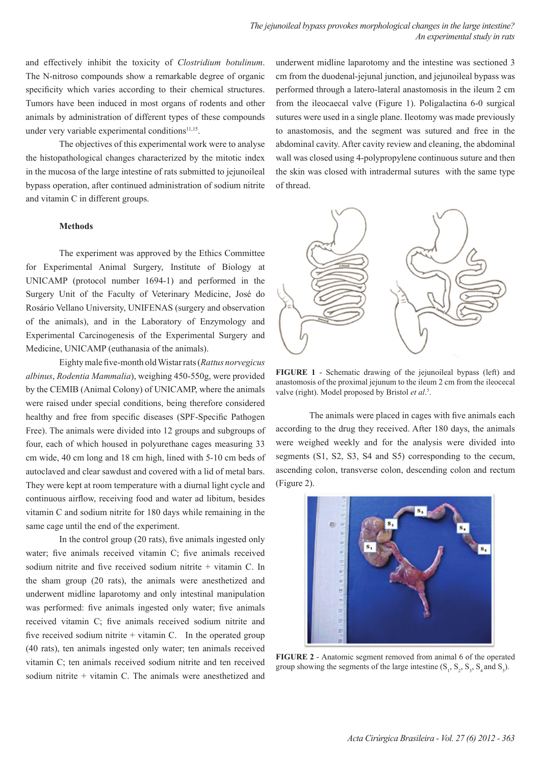and effectively inhibit the toxicity of *Clostridium botulinum*. The N-nitroso compounds show a remarkable degree of organic specificity which varies according to their chemical structures. Tumors have been induced in most organs of rodents and other animals by administration of different types of these compounds under very variable experimental conditions $11,15$ .

The objectives of this experimental work were to analyse the histopathological changes characterized by the mitotic index in the mucosa of the large intestine of rats submitted to jejunoileal bypass operation, after continued administration of sodium nitrite and vitamin C in different groups.

#### **Methods**

The experiment was approved by the Ethics Committee for Experimental Animal Surgery, Institute of Biology at UNICAMP (protocol number 1694-1) and performed in the Surgery Unit of the Faculty of Veterinary Medicine, José do Rosário Vellano University, UNIFENAS (surgery and observation of the animals), and in the Laboratory of Enzymology and Experimental Carcinogenesis of the Experimental Surgery and Medicine, UNICAMP (euthanasia of the animals).

Eighty male five-month old Wistar rats (*Rattus norvegicus albinus*, *Rodentia Mammalia*), weighing 450-550g, were provided by the CEMIB (Animal Colony) of UNICAMP, where the animals were raised under special conditions, being therefore considered healthy and free from specific diseases (SPF-Specific Pathogen Free). The animals were divided into 12 groups and subgroups of four, each of which housed in polyurethane cages measuring 33 cm wide, 40 cm long and 18 cm high, lined with 5-10 cm beds of autoclaved and clear sawdust and covered with a lid of metal bars. They were kept at room temperature with a diurnal light cycle and continuous airflow, receiving food and water ad libitum, besides vitamin C and sodium nitrite for 180 days while remaining in the same cage until the end of the experiment.

In the control group (20 rats), five animals ingested only water; five animals received vitamin C; five animals received sodium nitrite and five received sodium nitrite + vitamin C. In the sham group (20 rats), the animals were anesthetized and underwent midline laparotomy and only intestinal manipulation was performed: five animals ingested only water; five animals received vitamin C; five animals received sodium nitrite and five received sodium nitrite  $+$  vitamin C. In the operated group (40 rats), ten animals ingested only water; ten animals received vitamin C; ten animals received sodium nitrite and ten received sodium nitrite + vitamin C. The animals were anesthetized and underwent midline laparotomy and the intestine was sectioned 3 cm from the duodenal-jejunal junction, and jejunoileal bypass was performed through a latero-lateral anastomosis in the ileum 2 cm from the ileocaecal valve (Figure 1). Poligalactina 6-0 surgical sutures were used in a single plane. Ileotomy was made previously to anastomosis, and the segment was sutured and free in the abdominal cavity. After cavity review and cleaning, the abdominal wall was closed using 4-polypropylene continuous suture and then the skin was closed with intradermal sutures with the same type of thread.



**FIGURE 1** - Schematic drawing of the jejunoileal bypass (left) and anastomosis of the proximal jejunum to the ileum 2 cm from the ileocecal valve (right). Model proposed by Bristol et al.<sup>5</sup>.

The animals were placed in cages with five animals each according to the drug they received. After 180 days, the animals were weighed weekly and for the analysis were divided into segments (S1, S2, S3, S4 and S5) corresponding to the cecum, ascending colon, transverse colon, descending colon and rectum (Figure 2).



**FIGURE 2** - Anatomic segment removed from animal 6 of the operated group showing the segments of the large intestine  $(S_1, S_2, S_3, S_4$  and  $S_5)$ .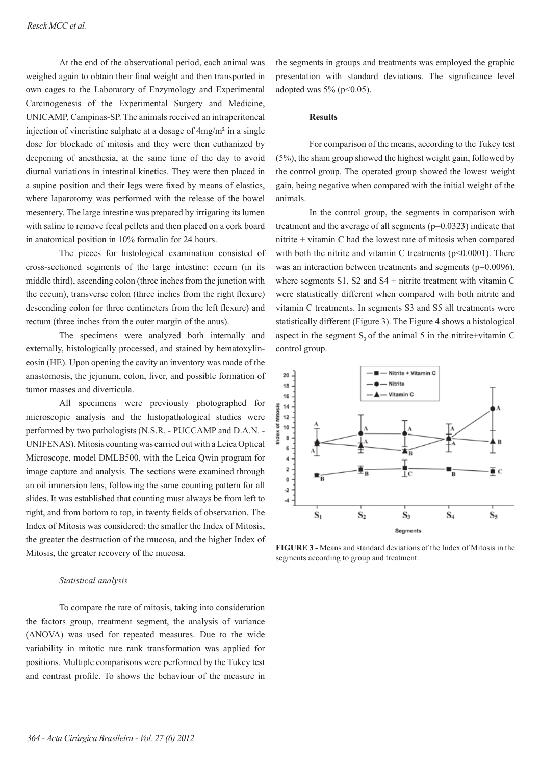At the end of the observational period, each animal was weighed again to obtain their final weight and then transported in own cages to the Laboratory of Enzymology and Experimental Carcinogenesis of the Experimental Surgery and Medicine, UNICAMP, Campinas-SP. The animals received an intraperitoneal injection of vincristine sulphate at a dosage of 4mg/m² in a single dose for blockade of mitosis and they were then euthanized by deepening of anesthesia, at the same time of the day to avoid diurnal variations in intestinal kinetics. They were then placed in a supine position and their legs were fixed by means of elastics, where laparotomy was performed with the release of the bowel mesentery. The large intestine was prepared by irrigating its lumen with saline to remove fecal pellets and then placed on a cork board in anatomical position in 10% formalin for 24 hours.

The pieces for histological examination consisted of cross-sectioned segments of the large intestine: cecum (in its middle third), ascending colon (three inches from the junction with the cecum), transverse colon (three inches from the right flexure) descending colon (or three centimeters from the left flexure) and rectum (three inches from the outer margin of the anus).

The specimens were analyzed both internally and externally, histologically processed, and stained by hematoxylineosin (HE). Upon opening the cavity an inventory was made of the anastomosis, the jejunum, colon, liver, and possible formation of tumor masses and diverticula.

All specimens were previously photographed for microscopic analysis and the histopathological studies were performed by two pathologists (N.S.R. - PUCCAMP and D.A.N. - UNIFENAS). Mitosis counting was carried out with a Leica Optical Microscope, model DMLB500, with the Leica Qwin program for image capture and analysis. The sections were examined through an oil immersion lens, following the same counting pattern for all slides. It was established that counting must always be from left to right, and from bottom to top, in twenty fields of observation. The Index of Mitosis was considered: the smaller the Index of Mitosis, the greater the destruction of the mucosa, and the higher Index of Mitosis, the greater recovery of the mucosa.

#### *Statistical analysis*

To compare the rate of mitosis, taking into consideration the factors group, treatment segment, the analysis of variance (ANOVA) was used for repeated measures. Due to the wide variability in mitotic rate rank transformation was applied for positions. Multiple comparisons were performed by the Tukey test and contrast profile. To shows the behaviour of the measure in

the segments in groups and treatments was employed the graphic presentation with standard deviations. The significance level adopted was  $5\%$  (p<0.05).

### **Results**

For comparison of the means, according to the Tukey test (5%), the sham group showed the highest weight gain, followed by the control group. The operated group showed the lowest weight gain, being negative when compared with the initial weight of the animals.

In the control group, the segments in comparison with treatment and the average of all segments (p=0.0323) indicate that nitrite + vitamin C had the lowest rate of mitosis when compared with both the nitrite and vitamin C treatments ( $p \le 0.0001$ ). There was an interaction between treatments and segments (p=0.0096), where segments  $S1$ ,  $S2$  and  $S4$  + nitrite treatment with vitamin C were statistically different when compared with both nitrite and vitamin C treatments. In segments S3 and S5 all treatments were statistically different (Figure 3). The Figure 4 shows a histological aspect in the segment  $S<sub>2</sub>$  of the animal 5 in the nitrite+vitamin C control group.



**FIGURE 3 -** Means and standard deviations of the Index of Mitosis in the segments according to group and treatment.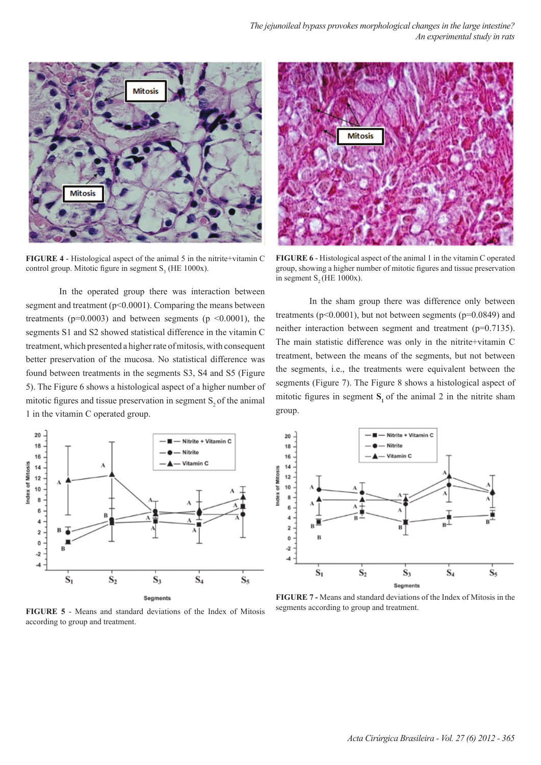

**FIGURE 4** - Histological aspect of the animal 5 in the nitrite+vitamin C control group. Mitotic figure in segment  $S_3$  (HE 1000x).

In the operated group there was interaction between segment and treatment  $(p<0.0001)$ . Comparing the means between treatments ( $p=0.0003$ ) and between segments ( $p \le 0.0001$ ), the segments S1 and S2 showed statistical difference in the vitamin C treatment, which presented a higher rate of mitosis, with consequent better preservation of the mucosa. No statistical difference was found between treatments in the segments S3, S4 and S5 (Figure 5). The Figure 6 shows a histological aspect of a higher number of mitotic figures and tissue preservation in segment  $S$ , of the animal 1 in the vitamin C operated group.



**FIGURE 5** - Means and standard deviations of the Index of Mitosis according to group and treatment.



**FIGURE 6** - Histological aspect of the animal 1 in the vitamin C operated group, showing a higher number of mitotic figures and tissue preservation in segment  $S<sub>2</sub>$  (HE 1000x).

In the sham group there was difference only between treatments ( $p<0.0001$ ), but not between segments ( $p=0.0849$ ) and neither interaction between segment and treatment (p=0.7135). The main statistic difference was only in the nitrite+vitamin C treatment, between the means of the segments, but not between the segments, i.e., the treatments were equivalent between the segments (Figure 7). The Figure 8 shows a histological aspect of mitotic figures in segment  $S<sub>1</sub>$  of the animal 2 in the nitrite sham group.



**FIGURE 7 -** Means and standard deviations of the Index of Mitosis in the segments according to group and treatment.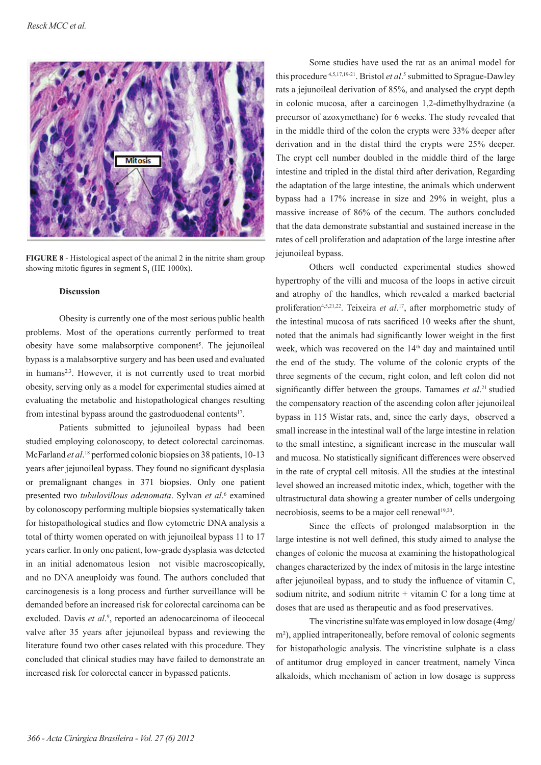

**FIGURE 8** - Histological aspect of the animal 2 in the nitrite sham group showing mitotic figures in segment  $S<sub>1</sub>$  (HE 1000x).

#### **Discussion**

Obesity is currently one of the most serious public health problems. Most of the operations currently performed to treat obesity have some malabsorptive component<sup>5</sup>. The jejunoileal bypass is a malabsorptive surgery and has been used and evaluated in humans<sup>2,3</sup>. However, it is not currently used to treat morbid obesity, serving only as a model for experimental studies aimed at evaluating the metabolic and histopathological changes resulting from intestinal bypass around the gastroduodenal contents<sup>17</sup>.

Patients submitted to jejunoileal bypass had been studied employing colonoscopy, to detect colorectal carcinomas. McFarland *et al*. 18 performed colonic biopsies on 38 patients, 10-13 years after jejunoileal bypass. They found no significant dysplasia or premalignant changes in 371 biopsies. Only one patient presented two *tubulovillous adenomata*. Sylvan *et al*. 6 examined by colonoscopy performing multiple biopsies systematically taken for histopathological studies and flow cytometric DNA analysis a total of thirty women operated on with jejunoileal bypass 11 to 17 years earlier. In only one patient, low-grade dysplasia was detected in an initial adenomatous lesion not visible macroscopically, and no DNA aneuploidy was found. The authors concluded that carcinogenesis is a long process and further surveillance will be demanded before an increased risk for colorectal carcinoma can be excluded. Davis et al.<sup>9</sup>, reported an adenocarcinoma of ileocecal valve after 35 years after jejunoileal bypass and reviewing the literature found two other cases related with this procedure. They concluded that clinical studies may have failed to demonstrate an increased risk for colorectal cancer in bypassed patients.

Some studies have used the rat as an animal model for this procedure <sup>4,5,17,19-21</sup>. Bristol *et al.*<sup>5</sup> submitted to Sprague-Dawley rats a jejunoileal derivation of 85%, and analysed the crypt depth in colonic mucosa, after a carcinogen 1,2-dimethylhydrazine (a precursor of azoxymethane) for 6 weeks. The study revealed that in the middle third of the colon the crypts were 33% deeper after derivation and in the distal third the crypts were 25% deeper. The crypt cell number doubled in the middle third of the large intestine and tripled in the distal third after derivation, Regarding the adaptation of the large intestine, the animals which underwent bypass had a 17% increase in size and 29% in weight, plus a massive increase of 86% of the cecum. The authors concluded that the data demonstrate substantial and sustained increase in the rates of cell proliferation and adaptation of the large intestine after jejunoileal bypass.

Others well conducted experimental studies showed hypertrophy of the villi and mucosa of the loops in active circuit and atrophy of the handles, which revealed a marked bacterial proliferation<sup>4,5,21,22</sup>. Teixeira *et al.*<sup>17</sup>, after morphometric study of the intestinal mucosa of rats sacrificed 10 weeks after the shunt, noted that the animals had significantly lower weight in the first week, which was recovered on the 14<sup>th</sup> day and maintained until the end of the study. The volume of the colonic crypts of the three segments of the cecum, right colon, and left colon did not significantly differ between the groups. Tamames *et al*. 21 studied the compensatory reaction of the ascending colon after jejunoileal bypass in 115 Wistar rats, and, since the early days, observed a small increase in the intestinal wall of the large intestine in relation to the small intestine, a significant increase in the muscular wall and mucosa. No statistically significant differences were observed in the rate of cryptal cell mitosis. All the studies at the intestinal level showed an increased mitotic index, which, together with the ultrastructural data showing a greater number of cells undergoing necrobiosis, seems to be a major cell renewal<sup>19,20</sup>.

Since the effects of prolonged malabsorption in the large intestine is not well defined, this study aimed to analyse the changes of colonic the mucosa at examining the histopathological changes characterized by the index of mitosis in the large intestine after jejunoileal bypass, and to study the influence of vitamin C, sodium nitrite, and sodium nitrite  $+$  vitamin C for a long time at doses that are used as therapeutic and as food preservatives.

The vincristine sulfate was employed in low dosage (4mg/ m²), applied intraperitoneally, before removal of colonic segments for histopathologic analysis. The vincristine sulphate is a class of antitumor drug employed in cancer treatment, namely Vinca alkaloids, which mechanism of action in low dosage is suppress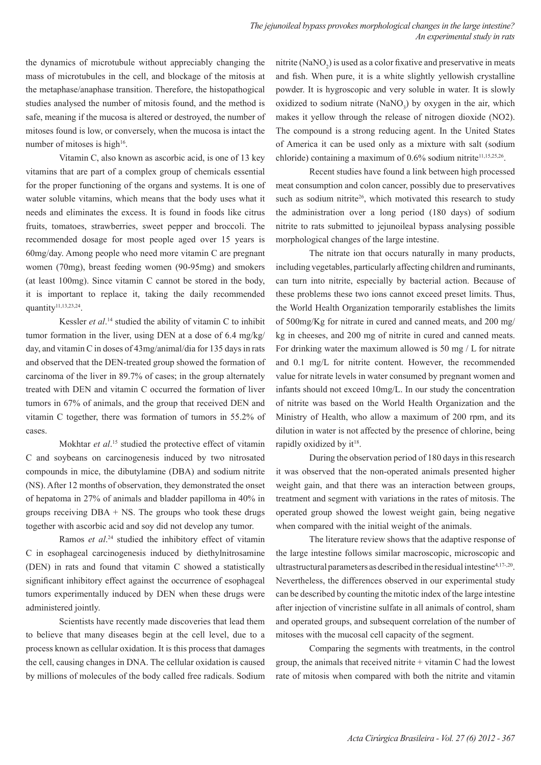the dynamics of microtubule without appreciably changing the mass of microtubules in the cell, and blockage of the mitosis at the metaphase/anaphase transition. Therefore, the histopathogical studies analysed the number of mitosis found, and the method is safe, meaning if the mucosa is altered or destroyed, the number of mitoses found is low, or conversely, when the mucosa is intact the number of mitoses is high<sup>16</sup>.

Vitamin C, also known as ascorbic acid, is one of 13 key vitamins that are part of a complex group of chemicals essential for the proper functioning of the organs and systems. It is one of water soluble vitamins, which means that the body uses what it needs and eliminates the excess. It is found in foods like citrus fruits, tomatoes, strawberries, sweet pepper and broccoli. The recommended dosage for most people aged over 15 years is 60mg/day. Among people who need more vitamin C are pregnant women (70mg), breast feeding women (90-95mg) and smokers (at least 100mg). Since vitamin C cannot be stored in the body, it is important to replace it, taking the daily recommended quantity<sup>11,13,23,24</sup>.

Kessler *et al*. 14 studied the ability of vitamin C to inhibit tumor formation in the liver, using DEN at a dose of 6.4 mg/kg/ day, and vitamin C in doses of 43mg/animal/dia for 135 days in rats and observed that the DEN-treated group showed the formation of carcinoma of the liver in 89.7% of cases; in the group alternately treated with DEN and vitamin C occurred the formation of liver tumors in 67% of animals, and the group that received DEN and vitamin C together, there was formation of tumors in 55.2% of cases.

Mokhtar *et al*.<sup>15</sup> studied the protective effect of vitamin C and soybeans on carcinogenesis induced by two nitrosated compounds in mice, the dibutylamine (DBA) and sodium nitrite (NS). After 12 months of observation, they demonstrated the onset of hepatoma in 27% of animals and bladder papilloma in 40% in groups receiving  $DBA + NS$ . The groups who took these drugs together with ascorbic acid and soy did not develop any tumor.

Ramos *et al*. 24 studied the inhibitory effect of vitamin C in esophageal carcinogenesis induced by diethylnitrosamine (DEN) in rats and found that vitamin C showed a statistically significant inhibitory effect against the occurrence of esophageal tumors experimentally induced by DEN when these drugs were administered jointly.

Scientists have recently made discoveries that lead them to believe that many diseases begin at the cell level, due to a process known as cellular oxidation. It is this process that damages the cell, causing changes in DNA. The cellular oxidation is caused by millions of molecules of the body called free radicals. Sodium

nitrite (NaNO<sub>2</sub>) is used as a color fixative and preservative in meats and fish. When pure, it is a white slightly yellowish crystalline powder. It is hygroscopic and very soluble in water. It is slowly oxidized to sodium nitrate  $(NaNO<sub>3</sub>)$  by oxygen in the air, which makes it yellow through the release of nitrogen dioxide (NO2). The compound is a strong reducing agent. In the United States of America it can be used only as a mixture with salt (sodium chloride) containing a maximum of  $0.6\%$  sodium nitrite<sup>11,15,25,26</sup>.

Recent studies have found a link between high processed meat consumption and colon cancer, possibly due to preservatives such as sodium nitrite<sup>26</sup>, which motivated this research to study the administration over a long period (180 days) of sodium nitrite to rats submitted to jejunoileal bypass analysing possible morphological changes of the large intestine.

The nitrate ion that occurs naturally in many products, including vegetables, particularly affecting children and ruminants, can turn into nitrite, especially by bacterial action. Because of these problems these two ions cannot exceed preset limits. Thus, the World Health Organization temporarily establishes the limits of 500mg/Kg for nitrate in cured and canned meats, and 200 mg/ kg in cheeses, and 200 mg of nitrite in cured and canned meats. For drinking water the maximum allowed is 50 mg / L for nitrate and 0.1 mg/L for nitrite content. However, the recommended value for nitrate levels in water consumed by pregnant women and infants should not exceed 10mg/L. In our study the concentration of nitrite was based on the World Health Organization and the Ministry of Health, who allow a maximum of 200 rpm, and its dilution in water is not affected by the presence of chlorine, being rapidly oxidized by  $it^{18}$ .

During the observation period of 180 days in this research it was observed that the non-operated animals presented higher weight gain, and that there was an interaction between groups, treatment and segment with variations in the rates of mitosis. The operated group showed the lowest weight gain, being negative when compared with the initial weight of the animals.

The literature review shows that the adaptive response of the large intestine follows similar macroscopic, microscopic and ultrastructural parameters as described in the residual intestine<sup>4,17-,20</sup>. Nevertheless, the differences observed in our experimental study can be described by counting the mitotic index of the large intestine after injection of vincristine sulfate in all animals of control, sham and operated groups, and subsequent correlation of the number of mitoses with the mucosal cell capacity of the segment.

Comparing the segments with treatments, in the control group, the animals that received nitrite  $+$  vitamin C had the lowest rate of mitosis when compared with both the nitrite and vitamin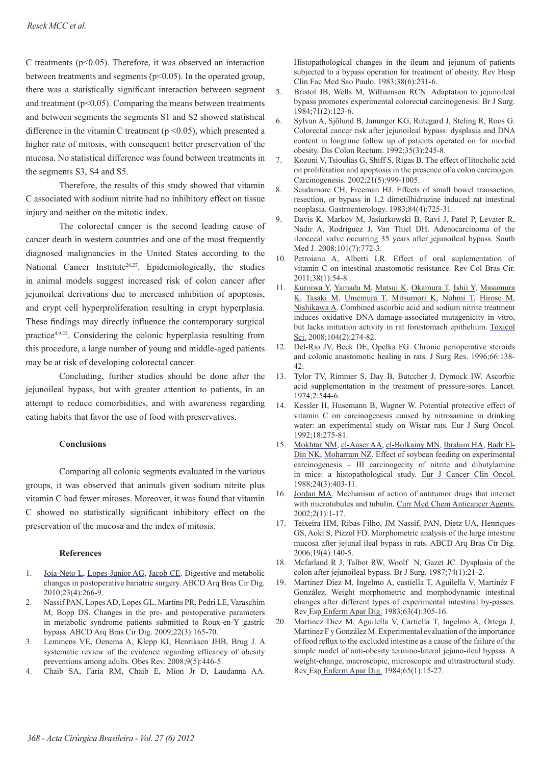C treatments (p<0.05). Therefore, it was observed an interaction between treatments and segments  $(p<0.05)$ . In the operated group, there was a statistically significant interaction between segment and treatment  $(p<0.05)$ . Comparing the means between treatments and between segments the segments S1 and S2 showed statistical difference in the vitamin C treatment ( $p \le 0.05$ ), which presented a higher rate of mitosis, with consequent better preservation of the mucosa. No statistical difference was found between treatments in the segments S3, S4 and S5.

Therefore, the results of this study showed that vitamin C associated with sodium nitrite had no inhibitory effect on tissue injury and neither on the mitotic index.

The colorectal cancer is the second leading cause of cancer death in western countries and one of the most frequently diagnosed malignancies in the United States according to the National Cancer Institute<sup>26,27</sup>. Epidemiologically, the studies in animal models suggest increased risk of colon cancer after jejunoileal derivations due to increased inhibition of apoptosis, and crypt cell hyperproliferation resulting in crypt hyperplasia. These findings may directly influence the contemporary surgical practice4,9,22. Considering the colonic hyperplasia resulting from this procedure, a large number of young and middle-aged patients may be at risk of developing colorectal cancer.

Concluding, further studies should be done after the jejunoileal bypass, but with greater attention to patients, in an attempt to reduce comorbidities, and with awareness regarding eating habits that favor the use of food with preservatives.

#### **Conclusions**

Comparing all colonic segments evaluated in the various groups, it was observed that animals given sodium nitrite plus vitamin C had fewer mitoses. Moreover, it was found that vitamin C showed no statistically significant inhibitory effect on the preservation of the mucosa and the index of mitosis.

#### **References**

- 1. Joia-Neto L, Lopes-Junior AG, Jacob CE. Digestive and metabolic changes in postoperative bariatric surgery. ABCD Arq Bras Cir Dig. 2010;23(4):266-9.
- 2. Nassif PAN, Lopes AD, Lopes GL, Martins PR, Pedri LE, Varaschim M, Bopp DS. Changes in the pre- and postoperative parameters in metabolic syndrome patients submitted to Roux-en-Y gastric bypass. ABCD Arq Bras Cir Dig. 2009;22(3):165-70.
- 3. Lemmens VE, Oenema A, Klepp KI, Henriksen JHB, Brug J. A systematic review of the evidence regarding efficancy of obesity preventions among adults. Obes Rev. 2008;9(5):446-5.
- 4. Chaib SA, Faria RM, Chaib E, Mion Jr D, Laudanna AA.

Histopathological changes in the ileum and jejunum of patients subjected to a bypass operation for treatment of obesity. Rev Hosp Clin Fac Med Sao Paulo. 1983;38(6):231-6.

- 5. Bristol JB, Wells M, Williamson RCN. Adaptation to jejunoileal bypass promotes experimental colorectal carcinogenesis. Br J Surg. 1984;71(2):123-6.
- 6. Sylvan A, Sjölund B, Janunger KG, Rutegard J, Steling R, Roos G. Colorectal cancer risk after jejunoileal bypass: dysplasia and DNA content in longtime follow up of patients operated on for morbid obesity. Dis Colon Rectum. 1992;35(3):245-8.
- 7. Kozoni V, Tsioulias G, Shiff S, Rigas B. The effect of litocholic acid on proliferation and apoptosis in the presence of a colon carcinogen. Carcinogenesis. 2002;21(5):999-1005.
- 8. Scudamore CH, Freeman HJ. Effects of small bowel transaction, resection, or bypass in 1,2 dimetilhidrazine induced rat intestinal neoplasia. Gastroenterology. 1983;84(4):725-31.
- 9. Davis K, Markov M, Jasiurkowski B, Ravi J, Patel P, Levater R, Nadir A, Rodriguez J, Van Thiel DH. Adenocarcinoma of the ileocecal valve occurring 35 years after jejunoileal bypass. South Med J. 2008;101(7):772-3.
- 10. Petroianu A, Alberti LR. Effect of oral suplementation of vitamin C on intestinal anastomotic resistance. Rev Col Bras Cir. 2011;38(1):54-8 .
- 11. Kuroiwa Y, Yamada M, Matsui K, Okamura T, Ishii Y, Masumura K, Tasaki M, Umemura T, Mitsumori K, Nohmi T, Hirose M, Nishikawa A. Combined ascorbic acid and sodium nitrite treatment induces oxidative DNA damage-associated mutagenicity in vitro, but lacks initiation activity in rat forestomach epithelium. Toxicol Sci. 2008;104(2):274-82.
- 12. Del-Rio JV, Beck DE, Opelka FG. Chronic perioperative steroids and colonic anastomotic healing in rats. J Surg Res. 1996;66:138- 42.
- 13. Tylor TV, Rimmer S, Day B, Butccher J, Dymock IW. Ascorbic acid supplementation in the treatment of pressure-sores. Lancet. 1974;2:544-6.
- 14. Kessler H, Husemann B, Wagner W. Potential protective effect of vitamin C on carcinogenesis caused by nitrosamine in drinking water: an experimental study on Wistar rats. Eur J Surg Oncol. 1992;18:275-81.
- 15. Mokhtar NM, el-Aaser AA, el-Bolkainy MN, Ibrahim HA, Badr El-Din NK, Moharram NZ. Effect of soybean feeding on experimental carcinogenesis – III carcinogecity of nitrite and dibutylamine in mice: a histopathological study. Eur J Cancer Clin Oncol. 1988;24(3):403-11.
- 16. Jordan MA. Mechanism of action of antitumor drugs that interact with microtubules and tubulin. Curr Med Chem Anticancer Agents. 2002;2(1):1-17.
- 17. Teixeira HM, Ribas-Filho, JM Nassif, PAN, Dietz UA, Henriques GS, Aoki S, Pizzol FD. Morphometric analysis of the large intestine mucosa after jejunal ileal bypass in rats. ABCD Arq Bras Cir Dig. 2006;19(4):140-5.
- 18. Mcfarland R J, Talbot RW, Woolf N, Gazet JC. Dysplasia of the colon after jejunoileal bypass. Br J Surg. 1987;74(1):21-2.
- 19. Martinez Diez M, Ingelmo A, castiella T, Aguilella V, Martinéz F González. Weight morphometric and morphodynamic intestinal changes after different types of experimental intestinal by-passes. Rev Esp Enferm Apar Dig. 1983;63(4):305-16.
- 20. Martinez Diez M, Aguilella V, Cartiella T, Ingelmo A, Ortega J, Martinez F y González M. Experimental evaluation of the importance of food reflux to the excluded intestine as a cause of the failure of the simple model of anti-obesity termino-lateral jejuno-ileal bypass. A weight-change, macroscopic, microscopic and ultrastructural study. Rev Esp Enferm Apar Dig. 1984;65(1):15-27.